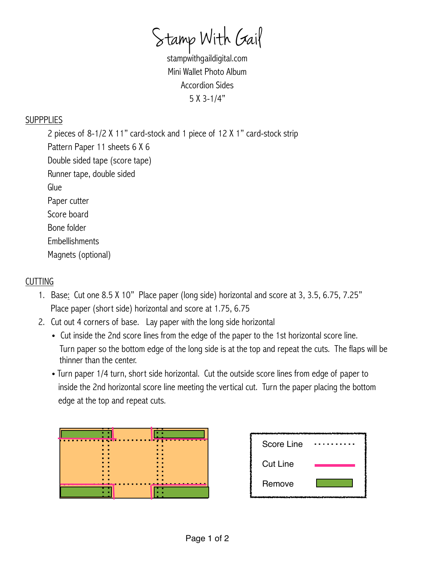Stamp With Gail

stampwithgaildigital.com Mini Wallet Photo Album Accordion Sides 5 X 3-1/4"

## **SUPPPLIES**

 2 pieces of 8-1/2 X 11" card-stock and 1 piece of 12 X 1" card-stock strip Pattern Paper 11 sheets 6 X 6 Double sided tape (score tape) Runner tape, double sided Glue Paper cutter Score board Bone folder **Embellishments** Magnets (optional)

## CUTTING

- 1. Base: Cut one 8.5 X 10" Place paper (long side) horizontal and score at 3, 3.5, 6.75, 7.25" Place paper (short side) horizontal and score at 1.75, 6.75
- 2. Cut out 4 corners of base. Lay paper with the long side horizontal
	- Cut inside the 2nd score lines from the edge of the paper to the 1st horizontal score line. Turn paper so the bottom edge of the long side is at the top and repeat the cuts. The flaps will be thinner than the center.
	- Turn paper 1/4 turn, short side horizontal. Cut the outside score lines from edge of paper to inside the 2nd horizontal score line meeting the vertical cut. Turn the paper placing the bottom edge at the top and repeat cuts.

| <u> 1989 - De Berger van de Franse k</u><br>. | п<br>п<br>×       | . .<br>. .                                                  |
|-----------------------------------------------|-------------------|-------------------------------------------------------------|
| п.                                            | п<br>п<br>×       | . .<br>. .<br>. .                                           |
| п.<br>п.                                      | п.<br><b>1999</b> | . .<br>. .                                                  |
| п.                                            | п.<br>п.<br>п     | <b>F</b><br>. .<br>the contract of the contract of<br>ستحسب |
|                                               |                   |                                                             |

| Score Line      |  |
|-----------------|--|
| <b>Cut Line</b> |  |
| Remove          |  |